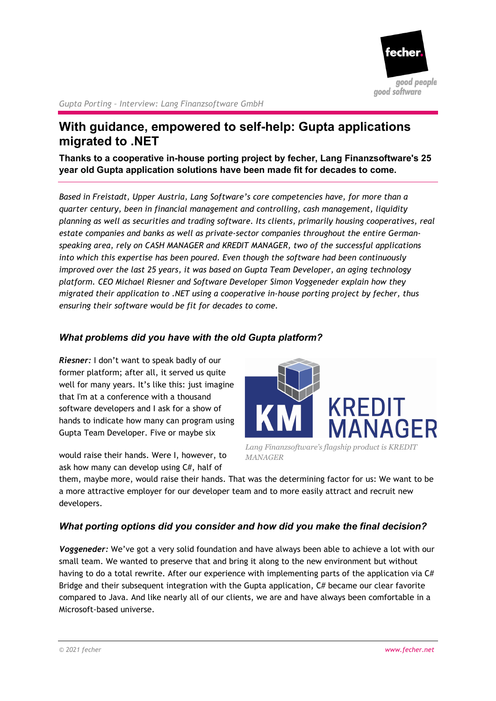

*Gupta Porting – Interview: Lang Finanzsoftware GmbH*

# **With guidance, empowered to self-help: Gupta applications migrated to .NET**

**Thanks to a cooperative in-house porting project by fecher, Lang Finanzsoftware's 25 year old Gupta application solutions have been made fit for decades to come.** 

*Based in Freistadt, Upper Austria, Lang Software's core competencies have, for more than a quarter century, been in financial management and controlling, cash management, liquidity planning as well as securities and trading software. Its clients, primarily housing cooperatives, real estate companies and banks as well as private-sector companies throughout the entire Germanspeaking area, rely on CASH MANAGER and KREDIT MANAGER, two of the successful applications into which this expertise has been poured. Even though the software had been continuously improved over the last 25 years, it was based on Gupta Team Developer, an aging technology platform. CEO Michael Riesner and Software Developer Simon Voggeneder explain how they migrated their application to .NET using a cooperative in-house porting project by fecher, thus ensuring their software would be fit for decades to come.* 

#### *What problems did you have with the old Gupta platform?*

*Riesner:* I don't want to speak badly of our former platform; after all, it served us quite well for many years. It's like this: just imagine that I'm at a conference with a thousand software developers and I ask for a show of hands to indicate how many can program using Gupta Team Developer. Five or maybe six

would raise their hands. Were I, however, to ask how many can develop using C#, half of



*Lang Finanzsoftware's flagship product is KREDIT MANAGER* 

them, maybe more, would raise their hands. That was the determining factor for us: We want to be a more attractive employer for our developer team and to more easily attract and recruit new developers.

## *What porting options did you consider and how did you make the final decision?*

*Voggeneder:* We've got a very solid foundation and have always been able to achieve a lot with our small team. We wanted to preserve that and bring it along to the new environment but without having to do a total rewrite. After our experience with implementing parts of the application via C# Bridge and their subsequent integration with the Gupta application, C# became our clear favorite compared to Java. And like nearly all of our clients, we are and have always been comfortable in a Microsoft-based universe.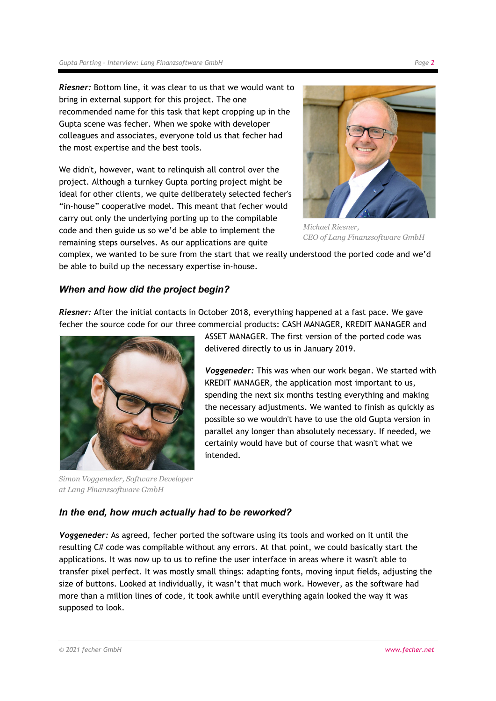*Riesner:* Bottom line, it was clear to us that we would want to bring in external support for this project. The one recommended name for this task that kept cropping up in the Gupta scene was fecher. When we spoke with developer colleagues and associates, everyone told us that fecher had the most expertise and the best tools.

We didn't, however, want to relinquish all control over the project. Although a turnkey Gupta porting project might be ideal for other clients, we quite deliberately selected fecher's "in-house" cooperative model. This meant that fecher would carry out only the underlying porting up to the compilable code and then guide us so we'd be able to implement the remaining steps ourselves. As our applications are quite



*Michael Riesner, CEO of Lang Finanzsoftware GmbH*

complex, we wanted to be sure from the start that we really understood the ported code and we'd be able to build up the necessary expertise in-house.

## *When and how did the project begin?*

*Riesner:* After the initial contacts in October 2018, everything happened at a fast pace. We gave fecher the source code for our three commercial products: CASH MANAGER, KREDIT MANAGER and



*Simon Voggeneder, Software Developer at Lang Finanzsoftware GmbH* 

ASSET MANAGER. The first version of the ported code was delivered directly to us in January 2019.

*Voggeneder:* This was when our work began. We started with KREDIT MANAGER, the application most important to us, spending the next six months testing everything and making the necessary adjustments. We wanted to finish as quickly as possible so we wouldn't have to use the old Gupta version in parallel any longer than absolutely necessary. If needed, we certainly would have but of course that wasn't what we intended.

## *In the end, how much actually had to be reworked?*

*Voggeneder:* As agreed, fecher ported the software using its tools and worked on it until the resulting C# code was compilable without any errors. At that point, we could basically start the applications. It was now up to us to refine the user interface in areas where it wasn't able to transfer pixel perfect. It was mostly small things: adapting fonts, moving input fields, adjusting the size of buttons. Looked at individually, it wasn't that much work. However, as the software had more than a million lines of code, it took awhile until everything again looked the way it was supposed to look.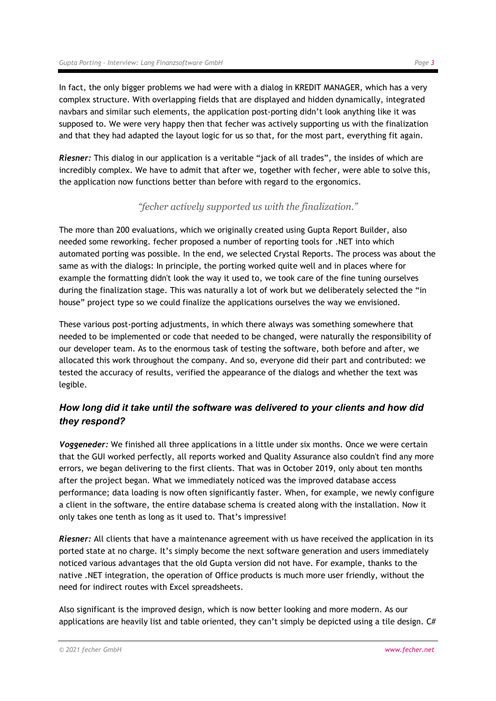In fact, the only bigger problems we had were with a dialog in KREDIT MANAGER, which has a very complex structure. With overlapping fields that are displayed and hidden dynamically, integrated navbars and similar such elements, the application post-porting didn't look anything like it was supposed to. We were very happy then that fecher was actively supporting us with the finalization and that they had adapted the layout logic for us so that, for the most part, everything fit again.

*Riesner:* This dialog in our application is a veritable "jack of all trades", the insides of which are incredibly complex. We have to admit that after we, together with fecher, were able to solve this, the application now functions better than before with regard to the ergonomics.

## *"fecher actively supported us with the finalization."*

The more than 200 evaluations, which we originally created using Gupta Report Builder, also needed some reworking. fecher proposed a number of reporting tools for .NET into which automated porting was possible. In the end, we selected Crystal Reports. The process was about the same as with the dialogs: In principle, the porting worked quite well and in places where for example the formatting didn't look the way it used to, we took care of the fine tuning ourselves during the finalization stage. This was naturally a lot of work but we deliberately selected the "in house" project type so we could finalize the applications ourselves the way we envisioned.

These various post-porting adjustments, in which there always was something somewhere that needed to be implemented or code that needed to be changed, were naturally the responsibility of our developer team. As to the enormous task of testing the software, both before and after, we allocated this work throughout the company. And so, everyone did their part and contributed: we tested the accuracy of results, verified the appearance of the dialogs and whether the text was legible.

## *How long did it take until the software was delivered to your clients and how did they respond?*

*Voggeneder:* We finished all three applications in a little under six months. Once we were certain that the GUI worked perfectly, all reports worked and Quality Assurance also couldn't find any more errors, we began delivering to the first clients. That was in October 2019, only about ten months after the project began. What we immediately noticed was the improved database access performance; data loading is now often significantly faster. When, for example, we newly configure a client in the software, the entire database schema is created along with the installation. Now it only takes one tenth as long as it used to. That's impressive!

*Riesner:* All clients that have a maintenance agreement with us have received the application in its ported state at no charge. It's simply become the next software generation and users immediately noticed various advantages that the old Gupta version did not have. For example, thanks to the native .NET integration, the operation of Office products is much more user friendly, without the need for indirect routes with Excel spreadsheets.

Also significant is the improved design, which is now better looking and more modern. As our applications are heavily list and table oriented, they can't simply be depicted using a tile design.  $C#$